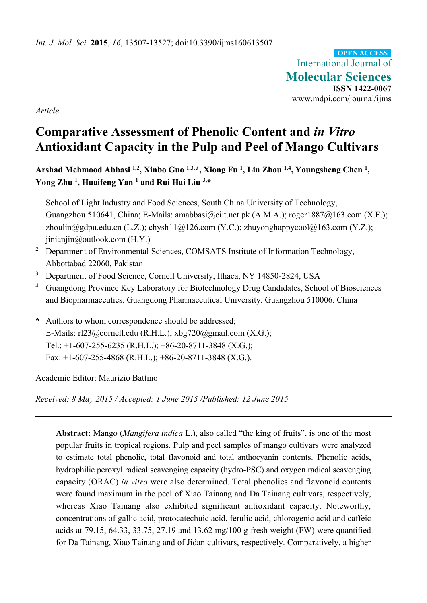International Journal of **Molecular Sciences ISSN 1422-0067**  www.mdpi.com/journal/ijms **OPEN ACCESS**

*Article* 

# **Comparative Assessment of Phenolic Content and** *in Vitro* **Antioxidant Capacity in the Pulp and Peel of Mango Cultivars**

Arshad Mehmood Abbasi <sup>1,2</sup>, Xinbo Guo <sup>1,3,\*</sup>, Xiong Fu <sup>1</sup>, Lin Zhou <sup>1,4</sup>, Youngsheng Chen <sup>1</sup>, **Yong Zhu 1, Huaifeng Yan 1 and Rui Hai Liu 3,\*** 

- 1 School of Light Industry and Food Sciences, South China University of Technology, Guangzhou 510641, China; E-Mails: amabbasi@ciit.net.pk (A.M.A.); roger1887@163.com (X.F.); zhoulin@gdpu.edu.cn (L.Z.); chysh11@126.com (Y.C.); zhuyonghappycool@163.com (Y.Z.);  $\text{inian}$ in $\omega$ outlook.com (H.Y.)
- <sup>2</sup> Department of Environmental Sciences, COMSATS Institute of Information Technology, Abbottabad 22060, Pakistan
- 3 Department of Food Science, Cornell University, Ithaca, NY 14850-2824, USA
- 4 Guangdong Province Key Laboratory for Biotechnology Drug Candidates, School of Biosciences and Biopharmaceutics, Guangdong Pharmaceutical University, Guangzhou 510006, China
- **\*** Authors to whom correspondence should be addressed; E-Mails:  $r123@correll.edu (R.H.L.); xbg720@gmail.com (X.G.);$ Tel.: +1-607-255-6235 (R.H.L.); +86-20-8711-3848 (X.G.); Fax: +1-607-255-4868 (R.H.L.); +86-20-8711-3848 (X.G.).

Academic Editor: Maurizio Battino

*Received: 8 May 2015 / Accepted: 1 June 2015 /Published: 12 June 2015* 

**Abstract:** Mango (*Mangifera indica* L.), also called "the king of fruits", is one of the most popular fruits in tropical regions. Pulp and peel samples of mango cultivars were analyzed to estimate total phenolic, total flavonoid and total anthocyanin contents. Phenolic acids, hydrophilic peroxyl radical scavenging capacity (hydro-PSC) and oxygen radical scavenging capacity (ORAC) *in vitro* were also determined. Total phenolics and flavonoid contents were found maximum in the peel of Xiao Tainang and Da Tainang cultivars, respectively, whereas Xiao Tainang also exhibited significant antioxidant capacity. Noteworthy, concentrations of gallic acid, protocatechuic acid, ferulic acid, chlorogenic acid and caffeic acids at 79.15, 64.33, 33.75, 27.19 and 13.62 mg/100 g fresh weight (FW) were quantified for Da Tainang, Xiao Tainang and of Jidan cultivars, respectively. Comparatively, a higher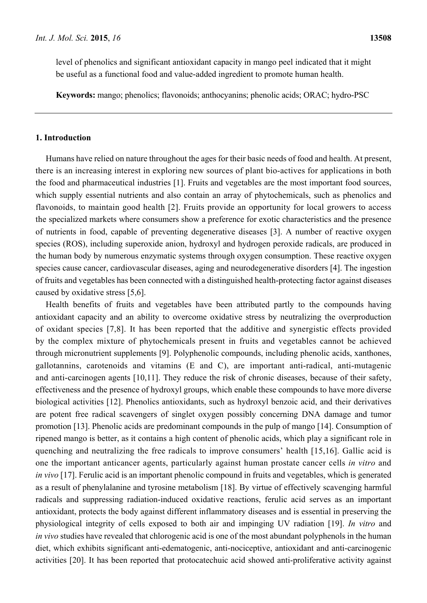level of phenolics and significant antioxidant capacity in mango peel indicated that it might be useful as a functional food and value-added ingredient to promote human health.

**Keywords:** mango; phenolics; flavonoids; anthocyanins; phenolic acids; ORAC; hydro-PSC

# **1. Introduction**

Humans have relied on nature throughout the ages for their basic needs of food and health. At present, there is an increasing interest in exploring new sources of plant bio-actives for applications in both the food and pharmaceutical industries [1]. Fruits and vegetables are the most important food sources, which supply essential nutrients and also contain an array of phytochemicals, such as phenolics and flavonoids, to maintain good health [2]. Fruits provide an opportunity for local growers to access the specialized markets where consumers show a preference for exotic characteristics and the presence of nutrients in food, capable of preventing degenerative diseases [3]. A number of reactive oxygen species (ROS), including superoxide anion, hydroxyl and hydrogen peroxide radicals, are produced in the human body by numerous enzymatic systems through oxygen consumption. These reactive oxygen species cause cancer, cardiovascular diseases, aging and neurodegenerative disorders [4]. The ingestion of fruits and vegetables has been connected with a distinguished health-protecting factor against diseases caused by oxidative stress [5,6].

Health benefits of fruits and vegetables have been attributed partly to the compounds having antioxidant capacity and an ability to overcome oxidative stress by neutralizing the overproduction of oxidant species [7,8]. It has been reported that the additive and synergistic effects provided by the complex mixture of phytochemicals present in fruits and vegetables cannot be achieved through micronutrient supplements [9]. Polyphenolic compounds, including phenolic acids, xanthones, gallotannins, carotenoids and vitamins (E and C), are important anti-radical, anti-mutagenic and anti-carcinogen agents [10,11]. They reduce the risk of chronic diseases, because of their safety, effectiveness and the presence of hydroxyl groups, which enable these compounds to have more diverse biological activities [12]. Phenolics antioxidants, such as hydroxyl benzoic acid, and their derivatives are potent free radical scavengers of singlet oxygen possibly concerning DNA damage and tumor promotion [13]. Phenolic acids are predominant compounds in the pulp of mango [14]. Consumption of ripened mango is better, as it contains a high content of phenolic acids, which play a significant role in quenching and neutralizing the free radicals to improve consumers' health [15,16]. Gallic acid is one the important anticancer agents, particularly against human prostate cancer cells *in vitro* and *in vivo* [17]. Ferulic acid is an important phenolic compound in fruits and vegetables, which is generated as a result of phenylalanine and tyrosine metabolism [18]. By virtue of effectively scavenging harmful radicals and suppressing radiation-induced oxidative reactions, ferulic acid serves as an important antioxidant, protects the body against different inflammatory diseases and is essential in preserving the physiological integrity of cells exposed to both air and impinging UV radiation [19]. *In vitro* and *in vivo* studies have revealed that chlorogenic acid is one of the most abundant polyphenols in the human diet, which exhibits significant anti-edematogenic, anti-nociceptive, antioxidant and anti-carcinogenic activities [20]. It has been reported that protocatechuic acid showed anti-proliferative activity against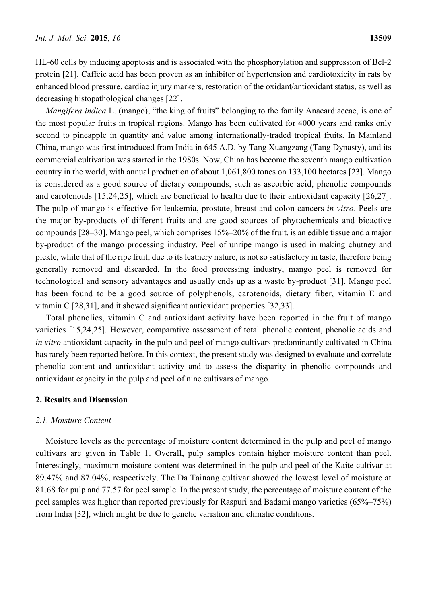HL-60 cells by inducing apoptosis and is associated with the phosphorylation and suppression of Bcl-2 protein [21]. Caffeic acid has been proven as an inhibitor of hypertension and cardiotoxicity in rats by enhanced blood pressure, cardiac injury markers, restoration of the oxidant/antioxidant status, as well as decreasing histopathological changes [22].

*Mangifera indica* L. (mango), "the king of fruits" belonging to the family Anacardiaceae, is one of the most popular fruits in tropical regions. Mango has been cultivated for 4000 years and ranks only second to pineapple in quantity and value among internationally-traded tropical fruits. In Mainland China, mango was first introduced from India in 645 A.D. by Tang Xuangzang (Tang Dynasty), and its commercial cultivation was started in the 1980s. Now, China has become the seventh mango cultivation country in the world, with annual production of about 1,061,800 tones on 133,100 hectares [23]. Mango is considered as a good source of dietary compounds, such as ascorbic acid, phenolic compounds and carotenoids [15,24,25], which are beneficial to health due to their antioxidant capacity [26,27]. The pulp of mango is effective for leukemia, prostate, breast and colon cancers *in vitro*. Peels are the major by-products of different fruits and are good sources of phytochemicals and bioactive compounds [28–30]. Mango peel, which comprises 15%–20% of the fruit, is an edible tissue and a major by-product of the mango processing industry. Peel of unripe mango is used in making chutney and pickle, while that of the ripe fruit, due to its leathery nature, is not so satisfactory in taste, therefore being generally removed and discarded. In the food processing industry, mango peel is removed for technological and sensory advantages and usually ends up as a waste by-product [31]. Mango peel has been found to be a good source of polyphenols, carotenoids, dietary fiber, vitamin E and vitamin C [28,31], and it showed significant antioxidant properties [32,33].

Total phenolics, vitamin C and antioxidant activity have been reported in the fruit of mango varieties [15,24,25]. However, comparative assessment of total phenolic content, phenolic acids and *in vitro* antioxidant capacity in the pulp and peel of mango cultivars predominantly cultivated in China has rarely been reported before. In this context, the present study was designed to evaluate and correlate phenolic content and antioxidant activity and to assess the disparity in phenolic compounds and antioxidant capacity in the pulp and peel of nine cultivars of mango.

# **2. Results and Discussion**

## *2.1. Moisture Content*

Moisture levels as the percentage of moisture content determined in the pulp and peel of mango cultivars are given in Table 1. Overall, pulp samples contain higher moisture content than peel. Interestingly, maximum moisture content was determined in the pulp and peel of the Kaite cultivar at 89.47% and 87.04%, respectively. The Da Tainang cultivar showed the lowest level of moisture at 81.68 for pulp and 77.57 for peel sample. In the present study, the percentage of moisture content of the peel samples was higher than reported previously for Raspuri and Badami mango varieties (65%–75%) from India [32], which might be due to genetic variation and climatic conditions.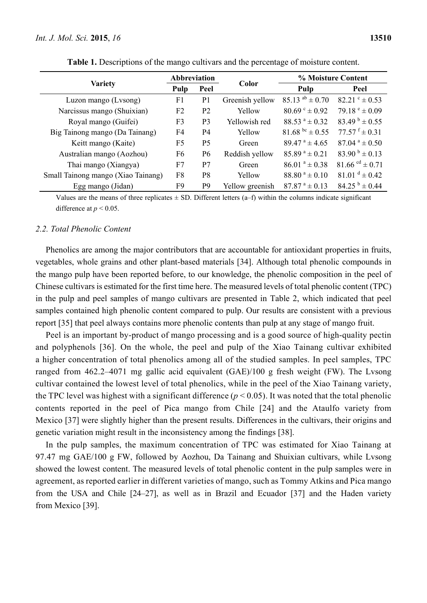|                                    | <b>Abbreviation</b> |                |                 | % Moisture Content                            |                                        |  |
|------------------------------------|---------------------|----------------|-----------------|-----------------------------------------------|----------------------------------------|--|
| <b>Variety</b>                     | Pulp                | Peel           | Color           | Pulp                                          | Peel                                   |  |
| Luzon mango (Lvsong)               | F1                  | P <sub>1</sub> | Greenish yellow | 85.13 $^{ab}$ ± 0.70                          | $82.21^{\circ} \pm 0.53$               |  |
| Narcissus mango (Shuixian)         | F <sub>2</sub>      | P <sub>2</sub> | Yellow          | $80.69^{\circ} \pm 0.92$                      | 79.18 $e \pm 0.09$                     |  |
| Royal mango (Guifei)               | F <sub>3</sub>      | P <sub>3</sub> | Yellowish red   | $88.53^{\text{a}} \pm 0.32^{\text{c}}$        | $83.49^{b} \pm 0.55$                   |  |
| Big Tainong mango (Da Tainang)     | F4                  | <b>P4</b>      | Yellow          | $81.68^{bc} \pm 0.55$                         | $77.57$ <sup>f</sup> ± 0.31            |  |
| Keitt mango (Kaite)                | F5                  | P <sub>5</sub> | Green           | $89.47^{\text{ a}} \pm 4.65^{\text{ } \cdot}$ | $87.04^{\text{a}} \pm 0.50^{\text{c}}$ |  |
| Australian mango (Aozhou)          | F <sub>6</sub>      | P <sub>6</sub> | Reddish yellow  | $85.89^{\text{a}} \pm 0.21$                   | $83.90^{b} \pm 0.13$                   |  |
| Thai mango (Xiangya)               | F7                  | P7             | Green           | $86.01^a \pm 0.38$                            | $81.66$ <sup>cd</sup> $\pm$ 0.71       |  |
| Small Tainong mango (Xiao Tainang) | F8                  | P <sub>8</sub> | Yellow          | $88.80^{\text{a}} \pm 0.10^{\text{c}}$        | $81.01d \pm 0.42$                      |  |
| Egg mango (Jidan)                  | F9                  | P <sub>9</sub> | Yellow greenish | $87.87^{\text{ a}} \pm 0.13$                  | $84.25^{b} \pm 0.44$                   |  |

**Table 1.** Descriptions of the mango cultivars and the percentage of moisture content.

Values are the means of three replicates  $\pm$  SD. Different letters (a–f) within the columns indicate significant difference at  $p < 0.05$ .

#### *2.2. Total Phenolic Content*

Phenolics are among the major contributors that are accountable for antioxidant properties in fruits, vegetables, whole grains and other plant-based materials [34]. Although total phenolic compounds in the mango pulp have been reported before, to our knowledge, the phenolic composition in the peel of Chinese cultivars is estimated for the first time here. The measured levels of total phenolic content (TPC) in the pulp and peel samples of mango cultivars are presented in Table 2, which indicated that peel samples contained high phenolic content compared to pulp. Our results are consistent with a previous report [35] that peel always contains more phenolic contents than pulp at any stage of mango fruit.

Peel is an important by-product of mango processing and is a good source of high-quality pectin and polyphenols [36]. On the whole, the peel and pulp of the Xiao Tainang cultivar exhibited a higher concentration of total phenolics among all of the studied samples. In peel samples, TPC ranged from 462.2–4071 mg gallic acid equivalent (GAE)/100 g fresh weight (FW). The Lvsong cultivar contained the lowest level of total phenolics, while in the peel of the Xiao Tainang variety, the TPC level was highest with a significant difference  $(p < 0.05)$ . It was noted that the total phenolic contents reported in the peel of Pica mango from Chile [24] and the Ataulfo variety from Mexico [37] were slightly higher than the present results. Differences in the cultivars, their origins and genetic variation might result in the inconsistency among the findings [38].

In the pulp samples, the maximum concentration of TPC was estimated for Xiao Tainang at 97.47 mg GAE/100 g FW, followed by Aozhou, Da Tainang and Shuixian cultivars, while Lvsong showed the lowest content. The measured levels of total phenolic content in the pulp samples were in agreement, as reported earlier in different varieties of mango, such as Tommy Atkins and Pica mango from the USA and Chile [24–27], as well as in Brazil and Ecuador [37] and the Haden variety from Mexico [39].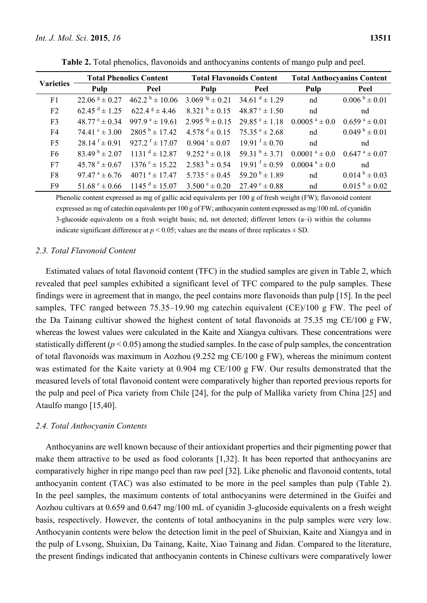| <b>Varieties</b> |                                        | <b>Total Phenolics Content</b> | <b>Total Flavonoids Content</b> |                             | <b>Total Anthocyanins Content</b> |                                 |  |
|------------------|----------------------------------------|--------------------------------|---------------------------------|-----------------------------|-----------------------------------|---------------------------------|--|
|                  | Pulp                                   | Peel                           | Pulp                            | Peel                        | Pulp                              | Peel                            |  |
| F1               | $22.06g \pm 0.27$                      | $462.2 h \pm 10.06$            | 3.069 $\mathrm{fg} \pm 0.21$    | 34.61 $d \pm 1.29$          | nd                                | $0.006^{b} \pm 0.01$            |  |
| F2               | $62.45^{\text{ d}} \pm 1.25$           | $622.4$ $8 \pm 4.46$           | $8.321^{b} \pm 0.15$            | $48.87^{\circ} \pm 1.50$    | nd                                | nd                              |  |
| F <sub>3</sub>   | $48.77^{\circ} \pm 0.34$               | 997.9 $^{\circ}$ ± 19.61       | 2.995 $\frac{fg}{2} \pm 0.15$   | $29.85^{\circ} \pm 1.18$    | $0.0005$ <sup>a</sup> $\pm$ 0.0   | $0.659^{\text{ a}} \pm 0.01$    |  |
| F <sub>4</sub>   | $74.41^{\circ} \pm 3.00$               | $2805^{\text{b}} \pm 17.42$    | 4.578 $^d \pm 0.15$             | $75.35^{\text{a}} \pm 2.68$ | nd                                | $0.049^{b} \pm 0.01$            |  |
| F <sub>5</sub>   | $28.14^{f} \pm 0.91$                   | 927.2 $f \pm 17.07$            | $0.904 \pm 0.07$                | $19.91 \text{ f} \pm 0.70$  | nd                                | nd                              |  |
| F <sub>6</sub>   | $83.49^{b} \pm 2.07$                   | $1131^{d} \pm 12.87$           | $9.252^{\text{a}} \pm 0.18$     | 59.31 $b = 3.71$            | $0.0001$ <sup>a</sup> $\pm$ 0.0   | $0.647$ <sup>a</sup> $\pm 0.07$ |  |
| F7               | $45.78^{\circ} \pm 0.67$               | $1376^{\circ} \pm 15.22$       | $2.583^{h} \pm 0.54$            | $19.91$ f $\pm 0.59$        | $0.0004$ <sup>a</sup> ± 0.0       | nd                              |  |
| F8               | $97.47^{\text{ a}} \pm 6.76^{\text{}}$ | $4071$ <sup>a</sup> ± 17.47    | $5.735$ ° $\pm$ 0.45            | $59.20^{b} \pm 1.89$        | nd                                | $0.014^{b} \pm 0.03$            |  |
| F9               | 51.68 $^{\circ}$ ± 0.66                | $1145^{\text{ d}} \pm 15.07$   | $3.500^{\circ} \pm 0.20$        | $27.49^{\circ} \pm 0.88$    | nd                                | $0.015^{b} \pm 0.02$            |  |

**Table 2.** Total phenolics, flavonoids and anthocyanins contents of mango pulp and peel.

Phenolic content expressed as mg of gallic acid equivalents per 100 g of fresh weight (FW); flavonoid content expressed as mg of catechin equivalents per 100 g of FW; anthocyanin content expressed as mg/100 mL of cyanidin 3-glucoside equivalents on a fresh weight basis; nd, not detected; different letters (a–i) within the columns indicate significant difference at  $p < 0.05$ ; values are the means of three replicates  $\pm$  SD.

# *2.3. Total Flavonoid Content*

Estimated values of total flavonoid content (TFC) in the studied samples are given in Table 2, which revealed that peel samples exhibited a significant level of TFC compared to the pulp samples. These findings were in agreement that in mango, the peel contains more flavonoids than pulp [15]. In the peel samples, TFC ranged between 75.35–19.90 mg catechin equivalent (CE)/100 g FW. The peel of the Da Tainang cultivar showed the highest content of total flavonoids at 75.35 mg CE/100 g FW, whereas the lowest values were calculated in the Kaite and Xiangya cultivars. These concentrations were statistically different  $(p < 0.05)$  among the studied samples. In the case of pulp samples, the concentration of total flavonoids was maximum in Aozhou (9.252 mg CE/100 g FW), whereas the minimum content was estimated for the Kaite variety at 0.904 mg CE/100 g FW. Our results demonstrated that the measured levels of total flavonoid content were comparatively higher than reported previous reports for the pulp and peel of Pica variety from Chile [24], for the pulp of Mallika variety from China [25] and Ataulfo mango [15,40].

#### *2.4. Total Anthocyanin Contents*

Anthocyanins are well known because of their antioxidant properties and their pigmenting power that make them attractive to be used as food colorants [1,32]. It has been reported that anthocyanins are comparatively higher in ripe mango peel than raw peel [32]. Like phenolic and flavonoid contents, total anthocyanin content (TAC) was also estimated to be more in the peel samples than pulp (Table 2). In the peel samples, the maximum contents of total anthocyanins were determined in the Guifei and Aozhou cultivars at 0.659 and 0.647 mg/100 mL of cyanidin 3-glucoside equivalents on a fresh weight basis, respectively. However, the contents of total anthocyanins in the pulp samples were very low. Anthocyanin contents were below the detection limit in the peel of Shuixian, Kaite and Xiangya and in the pulp of Lvsong, Shuixian, Da Tainang, Kaite, Xiao Tainang and Jidan. Compared to the literature, the present findings indicated that anthocyanin contents in Chinese cultivars were comparatively lower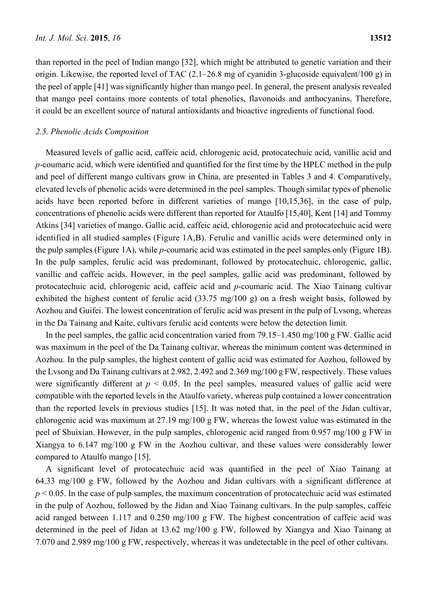than reported in the peel of Indian mango [32], which might be attributed to genetic variation and their origin. Likewise, the reported level of TAC (2.1–26.8 mg of cyanidin 3-glucoside equivalent/100 g) in the peel of apple [41] was significantly higher than mango peel. In general, the present analysis revealed that mango peel contains more contents of total phenolics, flavonoids and anthocyanins. Therefore, it could be an excellent source of natural antioxidants and bioactive ingredients of functional food.

#### *2.5. Phenolic Acids Composition*

Measured levels of gallic acid, caffeic acid, chlorogenic acid, protocatechuic acid, vanillic acid and *p*-coumaric acid, which were identified and quantified for the first time by the HPLC method in the pulp and peel of different mango cultivars grow in China, are presented in Tables 3 and 4. Comparatively, elevated levels of phenolic acids were determined in the peel samples. Though similar types of phenolic acids have been reported before in different varieties of mango [10,15,36], in the case of pulp, concentrations of phenolic acids were different than reported for Ataulfo [15,40], Kent [14] and Tommy Atkins [34] varieties of mango. Gallic acid, caffeic acid, chlorogenic acid and protocatechuic acid were identified in all studied samples (Figure 1A,B). Ferulic and vanillic acids were determined only in the pulp samples (Figure 1A), while *p*-coumaric acid was estimated in the peel samples only (Figure 1B). In the pulp samples, ferulic acid was predominant, followed by protocatechuic, chlorogenic, gallic, vanillic and caffeic acids. However, in the peel samples, gallic acid was predominant, followed by protocatechuic acid, chlorogenic acid, caffeic acid and *p*-coumaric acid. The Xiao Tainang cultivar exhibited the highest content of ferulic acid (33.75 mg/100 g) on a fresh weight basis, followed by Aozhou and Guifei. The lowest concentration of ferulic acid was present in the pulp of Lvsong, whereas in the Da Tainang and Kaite, cultivars ferulic acid contents were below the detection limit.

In the peel samples, the gallic acid concentration varied from 79.15–1.450 mg/100 g FW. Gallic acid was maximum in the peel of the Da Tainang cultivar, whereas the minimum content was determined in Aozhou. In the pulp samples, the highest content of gallic acid was estimated for Aozhou, followed by the Lvsong and Da Tainang cultivars at 2.982, 2.492 and 2.369 mg/100 g FW, respectively. These values were significantly different at  $p < 0.05$ . In the peel samples, measured values of gallic acid were compatible with the reported levels in the Ataulfo variety, whereas pulp contained a lower concentration than the reported levels in previous studies [15]. It was noted that, in the peel of the Jidan cultivar, chlorogenic acid was maximum at 27.19 mg/100 g FW, whereas the lowest value was estimated in the peel of Shuixian. However, in the pulp samples, chlorogenic acid ranged from 0.957 mg/100 g FW in Xiangya to 6.147 mg/100 g FW in the Aozhou cultivar, and these values were considerably lower compared to Ataulfo mango [15].

A significant level of protocatechuic acid was quantified in the peel of Xiao Tainang at 64.33 mg/100 g FW, followed by the Aozhou and Jidan cultivars with a significant difference at  $p < 0.05$ . In the case of pulp samples, the maximum concentration of protocatechuic acid was estimated in the pulp of Aozhou, followed by the Jidan and Xiao Tainang cultivars. In the pulp samples, caffeic acid ranged between 1.117 and 0.250 mg/100 g FW. The highest concentration of caffeic acid was determined in the peel of Jidan at 13.62 mg/100 g FW, followed by Xiangya and Xiao Tainang at 7.070 and 2.989 mg/100 g FW, respectively, whereas it was undetectable in the peel of other cultivars.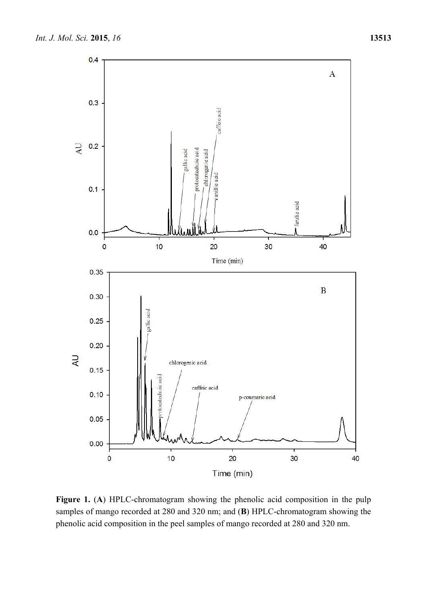

Figure 1. (A) HPLC-chromatogram showing the phenolic acid composition in the pulp samples of mango recorded at 280 and 320 nm; and (**B**) HPLC-chromatogram showing the phenolic acid composition in the peel samples of mango recorded at 280 and 320 nm.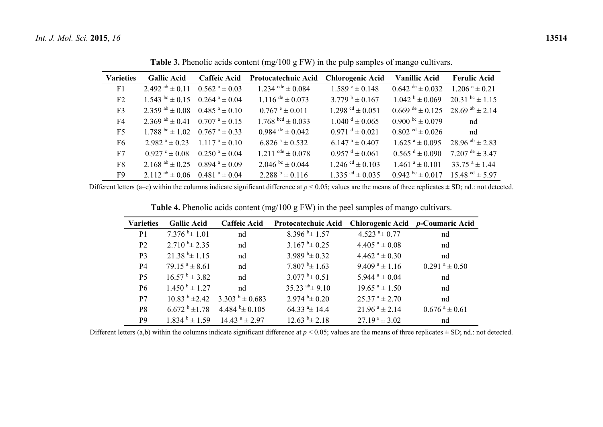| <b>Varieties</b> | <b>Gallic Acid</b>                                  | <b>Caffeic Acid</b>          | Protocatechuic Acid          | <b>Chlorogenic Acid</b>         | <b>Vanillic Acid</b>                       | <b>Ferulic Acid</b>         |
|------------------|-----------------------------------------------------|------------------------------|------------------------------|---------------------------------|--------------------------------------------|-----------------------------|
| F1               | 2.492 $^{ab}$ ± 0.11 0.562 $^{a}$ ± 0.03            |                              | 1.234 $\text{cde} \pm 0.084$ | $1.589^{\circ} \pm 0.148$       | $0.642$ de $\pm 0.032$                     | $1.206^{\circ} \pm 0.21$    |
| F2               | $1.543^{bc} \pm 0.15$ 0.264 $a \pm 0.04$            |                              | 1.116 $de \pm 0.073$         | $3.779^{b} \pm 0.167$           | $1.042^{b} \pm 0.069$                      | $20.31^{bc} \pm 1.15$       |
| F <sub>3</sub>   | $2.359^{ab} \pm 0.08$ 0.485 <sup>a</sup> $\pm$ 0.10 |                              | $0.767^{\circ} \pm 0.011$    | 1.298 <sup>cd</sup> $\pm$ 0.051 | $0.669$ de $\pm$ 0.125 28.69 ab $\pm$ 2.14 |                             |
| F4               | 2.369 $^{ab}$ ± 0.41 0.707 $^{a}$ ± 0.15            |                              | $1.768^{bcd} \pm 0.033$      | $1.040^{\mathrm{d}} \pm 0.065$  | 0.900 bc $\pm$ 0.079                       | nd                          |
| F <sub>5</sub>   | $1.788^{bc} \pm 1.02$ 0.767 <sup>a</sup> $\pm$ 0.33 |                              | 0.984 $de \pm 0.042$         | $0.971^{d} \pm 0.021$           | $0.802$ <sup>cd</sup> ± 0.026              | nd                          |
| F6               | $2.982^{\text{a}} \pm 0.23$                         | $1117^{\text{ a}} \pm 010$   | $6.826^{\text{a}} \pm 0.532$ | $6.147^{\text{ a}} \pm 0.407$   | $1.625^{\text{a}} \pm 0.095$               | 28.96 $^{ab}$ ± 2.83        |
| F7               | $0.927$ ° $\pm 0.08$                                | $0.250^{\text{ a}} \pm 0.04$ | 1.211 $\text{cde} \pm 0.078$ | $0.957^{\text{ d}} \pm 0.061$   | $0.565^{d} \pm 0.090$                      | 7.207 $\text{de} \pm 3.47$  |
| F <sub>8</sub>   | 2.168 $^{ab}$ ± 0.25 0.894 $^{a}$ ± 0.09            |                              | 2.046 $bc = 0.044$           | 1.246 $^{cd} \pm 0.103$         | $1.461^a \pm 0.101$                        | $33.75$ <sup>a</sup> ± 1.44 |
| F9               | 2.112 $^{ab}$ ± 0.06 0.481 $^{a}$ ± 0.04            |                              | $2.288^{b} \pm 0.116$        | $1.335$ <sup>cd</sup> ± 0.035   | $0.942^{bc} \pm 0.017$                     | $15.48 \text{°}$ $\pm 5.97$ |

**Table 3.** Phenolic acids content (mg/100 g FW) in the pulp samples of mango cultivars.

Different letters (a–e) within the columns indicate significant difference at  $p < 0.05$ ; values are the means of three replicates  $\pm$  SD; nd.: not detected.

**Table 4.** Phenolic acids content (mg/100 g FW) in the peel samples of mango cultivars.

| <b>Varieties</b> | <b>Gallic Acid</b>                     | <b>Caffeic Acid</b>                                 | Protocatechuic Acid              |                                        | Chlorogenic Acid p-Coumaric Acid |
|------------------|----------------------------------------|-----------------------------------------------------|----------------------------------|----------------------------------------|----------------------------------|
| P <sub>1</sub>   | $7.376^{b} \pm 1.01$                   | nd                                                  | $8.396^{b} \pm 1.57$             | 4.523 $a_{\pm}$ 0.77                   | nd                               |
| P <sub>2</sub>   | $2.710^{b} \pm 2.35$                   | nd                                                  | $3.167^{b} \pm 0.25$             | $4.405$ <sup>a</sup> ± 0.08            | nd                               |
| P <sub>3</sub>   | $21.38^{b} \pm 1.15$                   | nd                                                  | 3.989 $b_{\pm}$ 0.32             | $4.462$ <sup>a</sup> ± 0.30            | nd                               |
| P4               | $79.15^{\text{a}} \pm 8.61$            | nd                                                  | $7.807^{b} \pm 1.63$             | $9.409^{\text{ a}} \pm 1.16$           | $0.291$ <sup>a</sup> ± 0.50      |
| P <sub>5</sub>   | $16.57^{\text{b}} \pm 3.82^{\text{c}}$ | nd                                                  | $3.077^{b_{\pm}} 0.51$           | $5.944$ <sup>a</sup> ± 0.04            | nd                               |
| P <sub>6</sub>   | $1.450^{b} \pm 1.27$                   | nd                                                  | $35.23$ <sup>ab</sup> $\pm$ 9.10 | $19.65$ <sup>a</sup> ± 1.50            | nd                               |
| P7               |                                        | $10.83^{b} \pm 2.42$ 3.303 <sup>b</sup> $\pm 0.683$ | $2.974^{b} \pm 0.20$             | $25.37^{\text{a}} \pm 2.70^{\text{c}}$ | nd                               |
| P8               | $6.672^{b} \pm 1.78$                   | 4.484 $^{\rm b}$ ± 0.105                            | $64.33$ <sup>a</sup> $\pm$ 14.4  | $21.96^{\text{a}} \pm 2.14$            | $0.676$ <sup>a</sup> ± 0.61      |
| P <sub>9</sub>   | $1.834^{b} \pm 1.59$                   | $14.43$ <sup>a</sup> $\pm$ 2.97                     | $12.63^{b} \pm 2.18$             | $27.19^{\text{a}} \pm 3.02$            | nd                               |

Different letters (a,b) within the columns indicate significant difference at  $p < 0.05$ ; values are the means of three replicates  $\pm$  SD; nd.: not detected.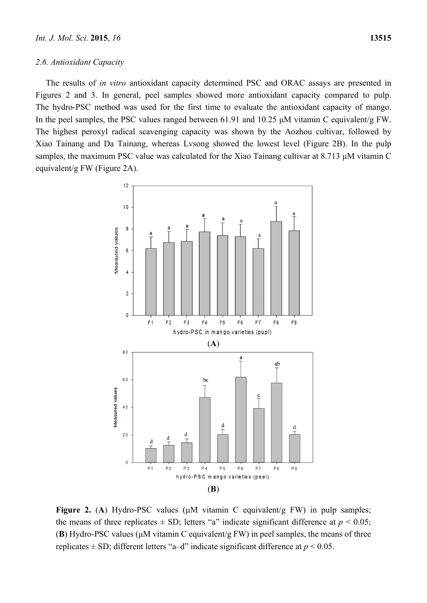#### *2.6. Antioxidant Capacity*

The results of *in vitro* antioxidant capacity determined PSC and ORAC assays are presented in Figures 2 and 3. In general, peel samples showed more antioxidant capacity compared to pulp. The hydro-PSC method was used for the first time to evaluate the antioxidant capacity of mango. In the peel samples, the PSC values ranged between 61.91 and 10.25 μM vitamin C equivalent/g FW. The highest peroxyl radical scavenging capacity was shown by the Aozhou cultivar, followed by Xiao Tainang and Da Tainang, whereas Lvsong showed the lowest level (Figure 2B). In the pulp samples, the maximum PSC value was calculated for the Xiao Tainang cultivar at 8.713 μM vitamin C equivalent/g FW (Figure 2A).



**Figure 2.** (**A**) Hydro-PSC values (μM vitamin C equivalent/g FW) in pulp samples; the means of three replicates  $\pm$  SD; letters "a" indicate significant difference at  $p \le 0.05$ ; (**B**) Hydro-PSC values (μM vitamin C equivalent/g FW) in peel samples, the means of three replicates  $\pm$  SD; different letters "a–d" indicate significant difference at  $p$  < 0.05.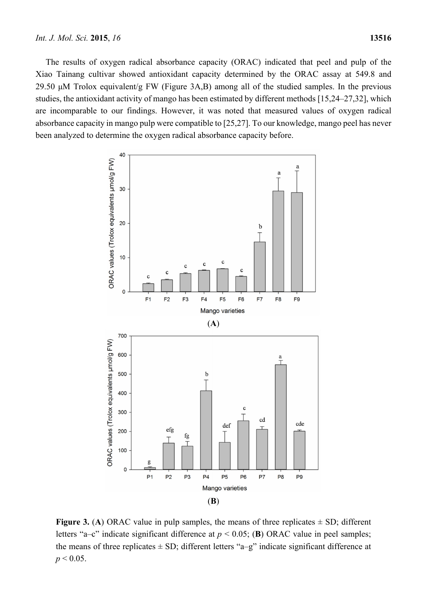The results of oxygen radical absorbance capacity (ORAC) indicated that peel and pulp of the Xiao Tainang cultivar showed antioxidant capacity determined by the ORAC assay at 549.8 and 29.50 μM Trolox equivalent/g FW (Figure 3A,B) among all of the studied samples. In the previous studies, the antioxidant activity of mango has been estimated by different methods [15,24–27,32], which are incomparable to our findings. However, it was noted that measured values of oxygen radical absorbance capacity in mango pulp were compatible to [25,27]. To our knowledge, mango peel has never been analyzed to determine the oxygen radical absorbance capacity before.



**Figure 3.** (A) ORAC value in pulp samples, the means of three replicates  $\pm$  SD; different letters "a–c" indicate significant difference at  $p < 0.05$ ; (B) ORAC value in peel samples; the means of three replicates  $\pm$  SD; different letters "a–g" indicate significant difference at  $p < 0.05$ .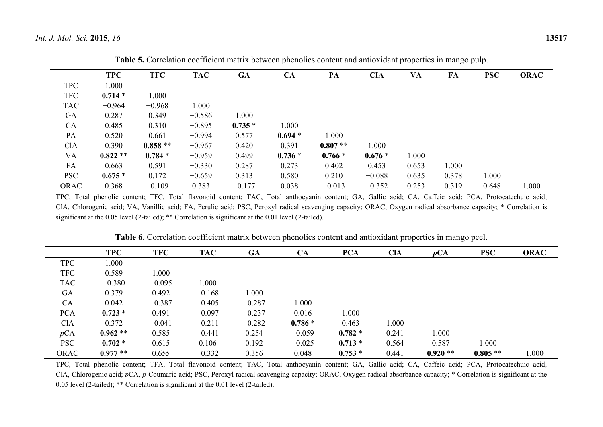|            | <b>TPC</b> | <b>TFC</b> | <b>TAC</b> | <b>GA</b> | CA       | PA        | <b>CIA</b> | VA    | FA    | <b>PSC</b> | <b>ORAC</b> |
|------------|------------|------------|------------|-----------|----------|-----------|------------|-------|-------|------------|-------------|
| <b>TPC</b> | 1.000      |            |            |           |          |           |            |       |       |            |             |
| <b>TFC</b> | $0.714*$   | 1.000      |            |           |          |           |            |       |       |            |             |
| <b>TAC</b> | $-0.964$   | $-0.968$   | 1.000      |           |          |           |            |       |       |            |             |
| GA         | 0.287      | 0.349      | $-0.586$   | 1.000     |          |           |            |       |       |            |             |
| CA         | 0.485      | 0.310      | $-0.895$   | $0.735*$  | 1.000    |           |            |       |       |            |             |
| PA         | 0.520      | 0.661      | $-0.994$   | 0.577     | $0.694*$ | 1.000     |            |       |       |            |             |
| <b>ClA</b> | 0.390      | $0.858**$  | $-0.967$   | 0.420     | 0.391    | $0.807**$ | 1.000      |       |       |            |             |
| VA         | $0.822**$  | $0.784*$   | $-0.959$   | 0.499     | $0.736*$ | $0.766*$  | $0.676*$   | 1.000 |       |            |             |
| FA         | 0.663      | 0.591      | $-0.330$   | 0.287     | 0.273    | 0.402     | 0.453      | 0.653 | 1.000 |            |             |
| <b>PSC</b> | $0.675*$   | 0.172      | $-0.659$   | 0.313     | 0.580    | 0.210     | $-0.088$   | 0.635 | 0.378 | 1.000      |             |
| ORAC       | 0.368      | $-0.109$   | 0.383      | $-0.177$  | 0.038    | $-0.013$  | $-0.352$   | 0.253 | 0.319 | 0.648      | 1.000       |

**Table 5.** Correlation coefficient matrix between phenolics content and antioxidant properties in mango pulp.

TPC, Total phenolic content; TFC, Total flavonoid content; TAC, Total anthocyanin content; GA, Gallic acid; CA, Caffeic acid; PCA, Protocatechuic acid; ClA, Chlorogenic acid; VA, Vanillic acid; FA, Ferulic acid; PSC, Peroxyl radical scavenging capacity; ORAC, Oxygen radical absorbance capacity; \* Correlation is significant at the 0.05 level (2-tailed); \*\* Correlation is significant at the 0.01 level (2-tailed).

|            | <b>TPC</b> | <b>TFC</b> | <b>TAC</b> | GA       | CA       | <b>PCA</b> | <b>CIA</b> | pCA       | <b>PSC</b> | <b>ORAC</b> |
|------------|------------|------------|------------|----------|----------|------------|------------|-----------|------------|-------------|
| <b>TPC</b> | 1.000      |            |            |          |          |            |            |           |            |             |
| <b>TFC</b> | 0.589      | 1.000      |            |          |          |            |            |           |            |             |
| <b>TAC</b> | $-0.380$   | $-0.095$   | 1.000      |          |          |            |            |           |            |             |
| GA         | 0.379      | 0.492      | $-0.168$   | 1.000    |          |            |            |           |            |             |
| CA         | 0.042      | $-0.387$   | $-0.405$   | $-0.287$ | 1.000    |            |            |           |            |             |
| <b>PCA</b> | $0.723*$   | 0.491      | $-0.097$   | $-0.237$ | 0.016    | 1.000      |            |           |            |             |
| <b>ClA</b> | 0.372      | $-0.041$   | $-0.211$   | $-0.282$ | $0.786*$ | 0.463      | 1.000      |           |            |             |
| pCA        | $0.962**$  | 0.585      | $-0.441$   | 0.254    | $-0.059$ | $0.782 *$  | 0.241      | 1.000     |            |             |
| <b>PSC</b> | $0.702 *$  | 0.615      | 0.106      | 0.192    | $-0.025$ | $0.713*$   | 0.564      | 0.587     | 1.000      |             |
| ORAC       | $0.977**$  | 0.655      | $-0.332$   | 0.356    | 0.048    | $0.753*$   | 0.441      | $0.920**$ | $0.805**$  | 1.000       |

**Table 6.** Correlation coefficient matrix between phenolics content and antioxidant properties in mango peel.

TPC, Total phenolic content; TFA, Total flavonoid content; TAC, Total anthocyanin content; GA, Gallic acid; CA, Caffeic acid; PCA, Protocatechuic acid; ClA, Chlorogenic acid; *p*CA, *p*-Coumaric acid; PSC, Peroxyl radical scavenging capacity; ORAC, Oxygen radical absorbance capacity; \* Correlation is significant at the 0.05 level (2-tailed); \*\* Correlation is significant at the 0.01 level (2-tailed).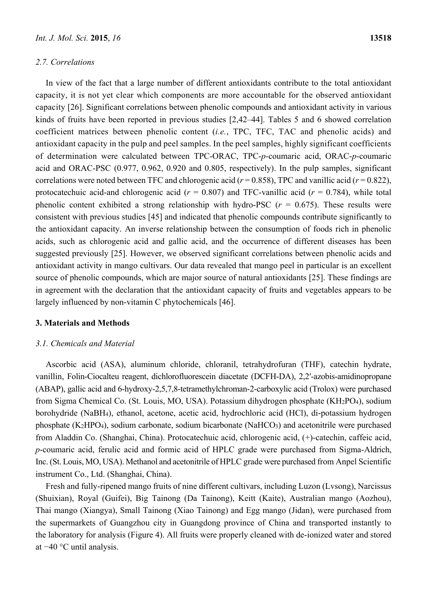#### *2.7. Correlations*

In view of the fact that a large number of different antioxidants contribute to the total antioxidant capacity, it is not yet clear which components are more accountable for the observed antioxidant capacity [26]. Significant correlations between phenolic compounds and antioxidant activity in various kinds of fruits have been reported in previous studies [2,42–44]. Tables 5 and 6 showed correlation coefficient matrices between phenolic content (*i.e.*, TPC, TFC, TAC and phenolic acids) and antioxidant capacity in the pulp and peel samples. In the peel samples, highly significant coefficients of determination were calculated between TPC-ORAC, TPC-*p*-coumaric acid, ORAC-*p*-coumaric acid and ORAC-PSC (0.977, 0.962, 0.920 and 0.805, respectively). In the pulp samples, significant correlations were noted between TFC and chlorogenic acid ( $r = 0.858$ ), TPC and vanillic acid ( $r = 0.822$ ), protocatechuic acid-and chlorogenic acid ( $r = 0.807$ ) and TFC-vanillic acid ( $r = 0.784$ ), while total phenolic content exhibited a strong relationship with hydro-PSC  $(r = 0.675)$ . These results were consistent with previous studies [45] and indicated that phenolic compounds contribute significantly to the antioxidant capacity. An inverse relationship between the consumption of foods rich in phenolic acids, such as chlorogenic acid and gallic acid, and the occurrence of different diseases has been suggested previously [25]. However, we observed significant correlations between phenolic acids and antioxidant activity in mango cultivars. Our data revealed that mango peel in particular is an excellent source of phenolic compounds, which are major source of natural antioxidants [25]. These findings are in agreement with the declaration that the antioxidant capacity of fruits and vegetables appears to be largely influenced by non-vitamin C phytochemicals [46].

#### **3. Materials and Methods**

### *3.1. Chemicals and Material*

Ascorbic acid (ASA), aluminum chloride, chloranil, tetrahydrofuran (THF), catechin hydrate, vanillin, Folin-Ciocalteu reagent, dichlorofluorescein diacetate (DCFH-DA), 2,2ʹ-azobis-amidinopropane (ABAP), gallic acid and 6-hydroxy-2,5,7,8-tetramethylchroman-2-carboxylic acid (Trolox) were purchased from Sigma Chemical Co. (St. Louis, MO, USA). Potassium dihydrogen phosphate (KH2PO4), sodium borohydride (NaBH4), ethanol, acetone, acetic acid, hydrochloric acid (HCl), di-potassium hydrogen phosphate (K2HPO4), sodium carbonate, sodium bicarbonate (NaHCO3) and acetonitrile were purchased from Aladdin Co. (Shanghai, China). Protocatechuic acid, chlorogenic acid, (+)-catechin, caffeic acid, *p*-coumaric acid, ferulic acid and formic acid of HPLC grade were purchased from Sigma-Aldrich, Inc. (St. Louis, MO, USA). Methanol and acetonitrile of HPLC grade were purchased from Anpel Scientific instrument Co., Ltd. (Shanghai, China).

Fresh and fully-ripened mango fruits of nine different cultivars, including Luzon (Lvsong), Narcissus (Shuixian), Royal (Guifei), Big Tainong (Da Tainong), Keitt (Kaite), Australian mango (Aozhou), Thai mango (Xiangya), Small Tainong (Xiao Tainong) and Egg mango (Jidan), were purchased from the supermarkets of Guangzhou city in Guangdong province of China and transported instantly to the laboratory for analysis (Figure 4). All fruits were properly cleaned with de-ionized water and stored at −40 °C until analysis.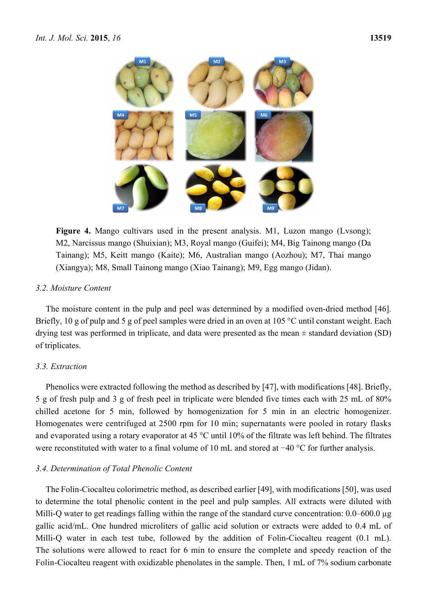

Figure 4. Mango cultivars used in the present analysis. M1, Luzon mango (Lysong); M2, Narcissus mango (Shuixian); M3, Royal mango (Guifei); M4, Big Tainong mango (Da Tainang); M5, Keitt mango (Kaite); M6, Australian mango (Aozhou); M7, Thai mango (Xiangya); M8, Small Tainong mango (Xiao Tainang); M9, Egg mango (Jidan).

# *3.2. Moisture Content*

The moisture content in the pulp and peel was determined by a modified oven-dried method [46]. Briefly, 10 g of pulp and 5 g of peel samples were dried in an oven at 105 °C until constant weight. Each drying test was performed in triplicate, and data were presented as the mean  $\pm$  standard deviation (SD) of triplicates.

# *3.3. Extraction*

Phenolics were extracted following the method as described by [47], with modifications [48]. Briefly, 5 g of fresh pulp and 3 g of fresh peel in triplicate were blended five times each with 25 mL of 80% chilled acetone for 5 min, followed by homogenization for 5 min in an electric homogenizer. Homogenates were centrifuged at 2500 rpm for 10 min; supernatants were pooled in rotary flasks and evaporated using a rotary evaporator at 45 °C until 10% of the filtrate was left behind. The filtrates were reconstituted with water to a final volume of 10 mL and stored at −40 °C for further analysis.

# *3.4. Determination of Total Phenolic Content*

The Folin-Ciocalteu colorimetric method, as described earlier [49], with modifications [50], was used to determine the total phenolic content in the peel and pulp samples. All extracts were diluted with Milli-Q water to get readings falling within the range of the standard curve concentration: 0.0–600.0 µg gallic acid/mL. One hundred microliters of gallic acid solution or extracts were added to 0.4 mL of Milli-Q water in each test tube, followed by the addition of Folin-Ciocalteu reagent (0.1 mL). The solutions were allowed to react for 6 min to ensure the complete and speedy reaction of the Folin-Ciocalteu reagent with oxidizable phenolates in the sample. Then, 1 mL of 7% sodium carbonate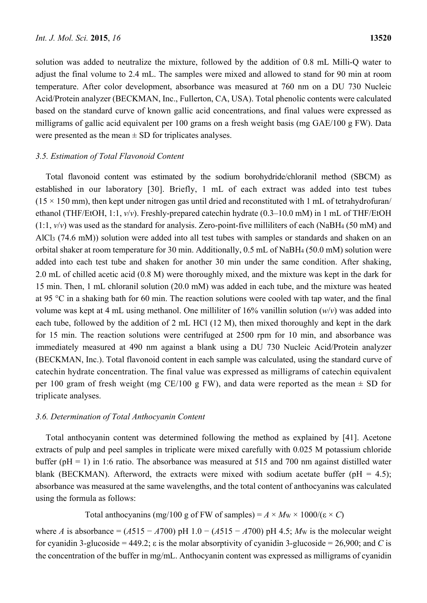solution was added to neutralize the mixture, followed by the addition of 0.8 mL Milli-Q water to adjust the final volume to 2.4 mL. The samples were mixed and allowed to stand for 90 min at room temperature. After color development, absorbance was measured at 760 nm on a DU 730 Nucleic Acid/Protein analyzer (BECKMAN, Inc., Fullerton, CA, USA). Total phenolic contents were calculated based on the standard curve of known gallic acid concentrations, and final values were expressed as milligrams of gallic acid equivalent per 100 grams on a fresh weight basis (mg GAE/100 g FW). Data were presented as the mean  $\pm$  SD for triplicates analyses.

### *3.5. Estimation of Total Flavonoid Content*

Total flavonoid content was estimated by the sodium borohydride/chloranil method (SBCM) as established in our laboratory [30]. Briefly, 1 mL of each extract was added into test tubes  $(15 \times 150 \text{ mm})$ , then kept under nitrogen gas until dried and reconstituted with 1 mL of tetrahydrofuran/ ethanol (THF/EtOH, 1:1, *v*/*v*). Freshly-prepared catechin hydrate (0.3–10.0 mM) in 1 mL of THF/EtOH  $(1:1, v/v)$  was used as the standard for analysis. Zero-point-five milliliters of each (NaBH<sub>4</sub> (50 mM) and AlCl3 (74.6 mM)) solution were added into all test tubes with samples or standards and shaken on an orbital shaker at room temperature for 30 min. Additionally, 0.5 mL of NaBH4 (50.0 mM) solution were added into each test tube and shaken for another 30 min under the same condition. After shaking, 2.0 mL of chilled acetic acid (0.8 M) were thoroughly mixed, and the mixture was kept in the dark for 15 min. Then, 1 mL chloranil solution (20.0 mM) was added in each tube, and the mixture was heated at 95 °C in a shaking bath for 60 min. The reaction solutions were cooled with tap water, and the final volume was kept at 4 mL using methanol. One milliliter of 16% vanillin solution (*w*/*v*) was added into each tube, followed by the addition of 2 mL HCl (12 M), then mixed thoroughly and kept in the dark for 15 min. The reaction solutions were centrifuged at 2500 rpm for 10 min, and absorbance was immediately measured at 490 nm against a blank using a DU 730 Nucleic Acid/Protein analyzer (BECKMAN, Inc.). Total flavonoid content in each sample was calculated, using the standard curve of catechin hydrate concentration. The final value was expressed as milligrams of catechin equivalent per 100 gram of fresh weight (mg CE/100 g FW), and data were reported as the mean  $\pm$  SD for triplicate analyses.

### *3.6. Determination of Total Anthocyanin Content*

Total anthocyanin content was determined following the method as explained by [41]. Acetone extracts of pulp and peel samples in triplicate were mixed carefully with 0.025 M potassium chloride buffer (pH = 1) in 1:6 ratio. The absorbance was measured at 515 and 700 nm against distilled water blank (BECKMAN). Afterword, the extracts were mixed with sodium acetate buffer ( $pH = 4.5$ ); absorbance was measured at the same wavelengths, and the total content of anthocyanins was calculated using the formula as follows:

Total anthocyanins (mg/100 g of FW of samples) =  $A \times M_W \times 1000/(\epsilon \times C)$ 

where *A* is absorbance =  $(A515 - A700)$  pH 1.0 –  $(A515 - A700)$  pH 4.5; *M<sub>W</sub>* is the molecular weight for cyanidin 3-glucoside = 449.2; ε is the molar absorptivity of cyanidin 3-glucoside = 26,900; and *C* is the concentration of the buffer in mg/mL. Anthocyanin content was expressed as milligrams of cyanidin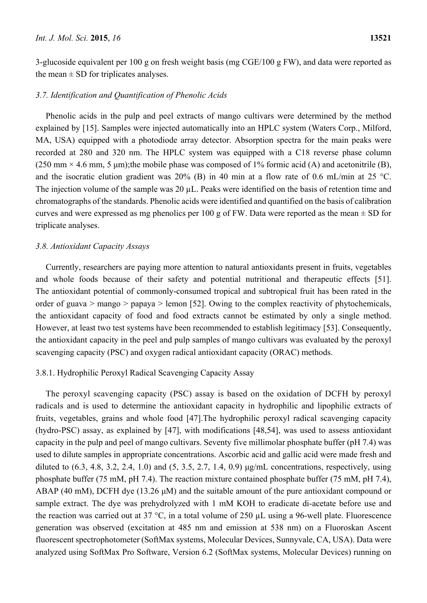3-glucoside equivalent per 100 g on fresh weight basis (mg CGE/100 g FW), and data were reported as the mean  $\pm$  SD for triplicates analyses.

### *3.7. Identification and Quantification of Phenolic Acids*

Phenolic acids in the pulp and peel extracts of mango cultivars were determined by the method explained by [15]. Samples were injected automatically into an HPLC system (Waters Corp., Milford, MA, USA) equipped with a photodiode array detector. Absorption spectra for the main peaks were recorded at 280 and 320 nm. The HPLC system was equipped with a C18 reverse phase column  $(250 \text{ mm} \times 4.6 \text{ mm}, 5 \text{ \mu m})$ ; the mobile phase was composed of 1% formic acid (A) and acetonitrile (B), and the isocratic elution gradient was  $20\%$  (B) in 40 min at a flow rate of 0.6 mL/min at 25 °C. The injection volume of the sample was 20 µL. Peaks were identified on the basis of retention time and chromatographs of the standards. Phenolic acids were identified and quantified on the basis of calibration curves and were expressed as mg phenolics per 100 g of FW. Data were reported as the mean  $\pm$  SD for triplicate analyses.

### *3.8. Antioxidant Capacity Assays*

Currently, researchers are paying more attention to natural antioxidants present in fruits, vegetables and whole foods because of their safety and potential nutritional and therapeutic effects [51]. The antioxidant potential of commonly-consumed tropical and subtropical fruit has been rated in the order of guava > mango > papaya > lemon [52]. Owing to the complex reactivity of phytochemicals, the antioxidant capacity of food and food extracts cannot be estimated by only a single method. However, at least two test systems have been recommended to establish legitimacy [53]. Consequently, the antioxidant capacity in the peel and pulp samples of mango cultivars was evaluated by the peroxyl scavenging capacity (PSC) and oxygen radical antioxidant capacity (ORAC) methods.

# 3.8.1. Hydrophilic Peroxyl Radical Scavenging Capacity Assay

The peroxyl scavenging capacity (PSC) assay is based on the oxidation of DCFH by peroxyl radicals and is used to determine the antioxidant capacity in hydrophilic and lipophilic extracts of fruits, vegetables, grains and whole food [47].The hydrophilic peroxyl radical scavenging capacity (hydro-PSC) assay, as explained by [47], with modifications [48,54], was used to assess antioxidant capacity in the pulp and peel of mango cultivars. Seventy five millimolar phosphate buffer (pH 7.4) was used to dilute samples in appropriate concentrations. Ascorbic acid and gallic acid were made fresh and diluted to  $(6.3, 4.8, 3.2, 2.4, 1.0)$  and  $(5, 3.5, 2.7, 1.4, 0.9)$   $\mu$ g/mL concentrations, respectively, using phosphate buffer (75 mM, pH 7.4). The reaction mixture contained phosphate buffer (75 mM, pH 7.4), ABAP (40 mM), DCFH dye (13.26 μM) and the suitable amount of the pure antioxidant compound or sample extract. The dye was prehydrolyzed with 1 mM KOH to eradicate di-acetate before use and the reaction was carried out at 37 °C, in a total volume of 250 µL using a 96-well plate. Fluorescence generation was observed (excitation at 485 nm and emission at 538 nm) on a Fluoroskan Ascent fluorescent spectrophotometer (SoftMax systems, Molecular Devices, Sunnyvale, CA, USA). Data were analyzed using SoftMax Pro Software, Version 6.2 (SoftMax systems, Molecular Devices) running on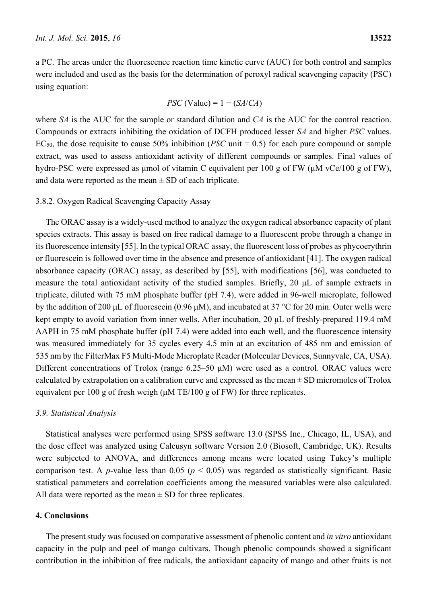a PC. The areas under the fluorescence reaction time kinetic curve (AUC) for both control and samples were included and used as the basis for the determination of peroxyl radical scavenging capacity (PSC) using equation:

$$
PSC (Value) = 1 - (SA/CA)
$$

where *SA* is the AUC for the sample or standard dilution and *CA* is the AUC for the control reaction. Compounds or extracts inhibiting the oxidation of DCFH produced lesser *SA* and higher *PSC* values. EC50, the dose requisite to cause 50% inhibition (*PSC* unit = 0.5) for each pure compound or sample extract, was used to assess antioxidant activity of different compounds or samples. Final values of hydro-PSC were expressed as μmol of vitamin C equivalent per 100 g of FW (μM vCe/100 g of FW), and data were reported as the mean  $\pm$  SD of each triplicate.

### 3.8.2. Oxygen Radical Scavenging Capacity Assay

The ORAC assay is a widely-used method to analyze the oxygen radical absorbance capacity of plant species extracts. This assay is based on free radical damage to a fluorescent probe through a change in its fluorescence intensity [55]. In the typical ORAC assay, the fluorescent loss of probes as phycoerythrin or fluorescein is followed over time in the absence and presence of antioxidant [41]. The oxygen radical absorbance capacity (ORAC) assay, as described by [55], with modifications [56], was conducted to measure the total antioxidant activity of the studied samples. Briefly, 20 μL of sample extracts in triplicate, diluted with 75 mM phosphate buffer (pH 7.4), were added in 96-well microplate, followed by the addition of 200 μL of fluorescein (0.96 μM), and incubated at 37 °C for 20 min. Outer wells were kept empty to avoid variation from inner wells. After incubation, 20 μL of freshly-prepared 119.4 mM AAPH in 75 mM phosphate buffer (pH 7.4) were added into each well, and the fluorescence intensity was measured immediately for 35 cycles every 4.5 min at an excitation of 485 nm and emission of 535 nm by the FilterMax F5 Multi-Mode Microplate Reader (Molecular Devices, Sunnyvale, CA, USA). Different concentrations of Trolox (range 6.25–50 μM) were used as a control. ORAC values were calculated by extrapolation on a calibration curve and expressed as the mean  $\pm$  SD micromoles of Trolox equivalent per 100 g of fresh weigh (μM TE/100 g of FW) for three replicates.

## *3.9. Statistical Analysis*

Statistical analyses were performed using SPSS software 13.0 (SPSS Inc., Chicago, IL, USA), and the dose effect was analyzed using Calcusyn software Version 2.0 (Biosoft, Cambridge, UK). Results were subjected to ANOVA, and differences among means were located using Tukey's multiple comparison test. A *p*-value less than 0.05 ( $p < 0.05$ ) was regarded as statistically significant. Basic statistical parameters and correlation coefficients among the measured variables were also calculated. All data were reported as the mean  $\pm$  SD for three replicates.

# **4. Conclusions**

The present study was focused on comparative assessment of phenolic content and *in vitro* antioxidant capacity in the pulp and peel of mango cultivars. Though phenolic compounds showed a significant contribution in the inhibition of free radicals, the antioxidant capacity of mango and other fruits is not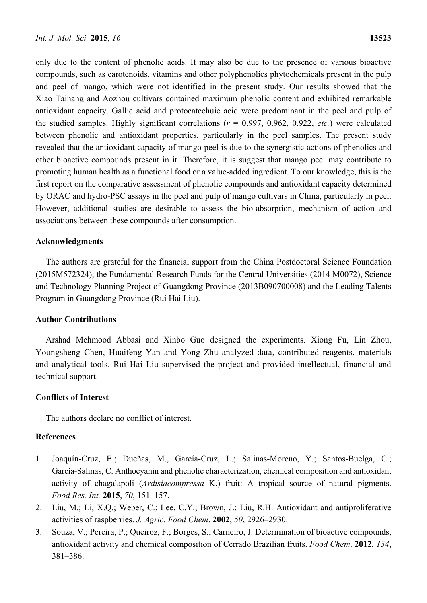only due to the content of phenolic acids. It may also be due to the presence of various bioactive compounds, such as carotenoids, vitamins and other polyphenolics phytochemicals present in the pulp and peel of mango, which were not identified in the present study. Our results showed that the Xiao Tainang and Aozhou cultivars contained maximum phenolic content and exhibited remarkable antioxidant capacity. Gallic acid and protocatechuic acid were predominant in the peel and pulp of the studied samples. Highly significant correlations (*r* = 0.997, 0.962, 0.922, *etc.*) were calculated between phenolic and antioxidant properties, particularly in the peel samples. The present study revealed that the antioxidant capacity of mango peel is due to the synergistic actions of phenolics and other bioactive compounds present in it. Therefore, it is suggest that mango peel may contribute to promoting human health as a functional food or a value-added ingredient. To our knowledge, this is the first report on the comparative assessment of phenolic compounds and antioxidant capacity determined by ORAC and hydro-PSC assays in the peel and pulp of mango cultivars in China, particularly in peel. However, additional studies are desirable to assess the bio-absorption, mechanism of action and associations between these compounds after consumption.

### **Acknowledgments**

The authors are grateful for the financial support from the China Postdoctoral Science Foundation (2015M572324), the Fundamental Research Funds for the Central Universities (2014 M0072), Science and Technology Planning Project of Guangdong Province (2013B090700008) and the Leading Talents Program in Guangdong Province (Rui Hai Liu).

### **Author Contributions**

Arshad Mehmood Abbasi and Xinbo Guo designed the experiments. Xiong Fu, Lin Zhou, Youngsheng Chen, Huaifeng Yan and Yong Zhu analyzed data, contributed reagents, materials and analytical tools. Rui Hai Liu supervised the project and provided intellectual, financial and technical support.

## **Conflicts of Interest**

The authors declare no conflict of interest.

## **References**

- 1. Joaquín-Cruz, E.; Dueñas, M., García-Cruz, L.; Salinas-Moreno, Y.; Santos-Buelga, C.; García-Salinas, C. Anthocyanin and phenolic characterization, chemical composition and antioxidant activity of chagalapoli (*Ardisiacompressa* K.) fruit: A tropical source of natural pigments. *Food Res. Int.* **2015**, *70*, 151–157.
- 2. Liu, M.; Li, X.Q.; Weber, C.; Lee, C.Y.; Brown, J.; Liu, R.H. Antioxidant and antiproliferative activities of raspberries. *J. Agric. Food Chem*. **2002**, *50*, 2926–2930.
- 3. Souza, V.; Pereira, P.; Queiroz, F.; Borges, S.; Carneiro, J. Determination of bioactive compounds, antioxidant activity and chemical composition of Cerrado Brazilian fruits. *Food Chem*. **2012**, *134*, 381–386.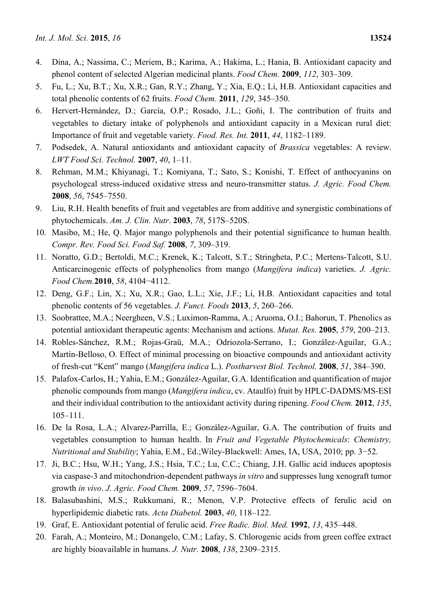- 4. Dina, A.; Nassima, C.; Meriem, B.; Karima, A.; Hakima, L.; Hania, B. Antioxidant capacity and phenol content of selected Algerian medicinal plants. *Food Chem.* **2009**, *112*, 303–309.
- 5. Fu, L.; Xu, B.T.; Xu, X.R.; Gan, R.Y.; Zhang, Y.; Xia, E.Q.; Li, H.B. Antioxidant capacities and total phenolic contents of 62 fruits. *Food Chem.* **2011**, *129*, 345–350.
- 6. Hervert-Hernández, D.; García, O.P.; Rosado, J.L.; Goñi, I. The contribution of fruits and vegetables to dietary intake of polyphenols and antioxidant capacity in a Mexican rural diet: Importance of fruit and vegetable variety. *Food. Res. Int.* **2011**, *44*, 1182–1189.
- 7. Podsedek, A. Natural antioxidants and antioxidant capacity of *Brassica* vegetables: A review. *LWT Food Sci. Technol.* **2007**, *40*, 1–11.
- 8. Rehman, M.M.; Khiyanagi, T.; Komiyana, T.; Sato, S.; Konishi, T. Effect of anthocyanins on psychologcal stress-induced oxidative stress and neuro-transmitter status. *J. Agric. Food Chem.*  **2008**, *56*, 7545–7550.
- 9. Liu, R.H. Health benefits of fruit and vegetables are from additive and synergistic combinations of phytochemicals. *Am. J. Clin. Nutr*. **2003**, *78*, 517S–520S.
- 10. Masibo, M.; He, Q. Major mango polyphenols and their potential significance to human health. *Compr. Rev. Food Sci. Food Saf.* **2008**, *7*, 309–319.
- 11. Noratto, G.D.; Bertoldi, M.C.; Krenek, K.; Talcott, S.T.; Stringheta, P.C.; Mertens-Talcott, S.U. Anticarcinogenic effects of polyphenolics from mango (*Mangifera indica*) varieties. *J. Agric. Food Chem.***2010**, *58*, 4104−4112.
- 12. Deng, G.F.; Lin, X.; Xu, X.R.; Gao, L.L.; Xie, J.F.; Li, H.B. Antioxidant capacities and total phenolic contents of 56 vegetables. *J. Funct. Foods* **2013**, *5*, 260–266.
- 13. Soobrattee, M.A.; Neergheen, V.S.; Luximon-Ramma, A.; Aruoma, O.I.; Bahorun, T. Phenolics as potential antioxidant therapeutic agents: Mechanism and actions. *Mutat. Res.* **2005**, *579*, 200–213.
- 14. Robles-Sánchez, R.M.; Rojas-Graü, M.A.; Odriozola-Serrano, I.; González-Aguilar, G.A.; Martín-Belloso, O. Effect of minimal processing on bioactive compounds and antioxidant activity of fresh-cut "Kent" mango (*Mangifera indica* L.). *Postharvest Biol. Technol.* **2008**, *51*, 384–390.
- 15. Palafox-Carlos, H.; Yahia, E.M.; González-Aguilar, G.A. Identification and quantification of major phenolic compounds from mango (*Mangifera indica*, cv. Ataulfo) fruit by HPLC-DADMS/MS-ESI and their individual contribution to the antioxidant activity during ripening. *Food Chem.* **2012**, *135*, 105–111.
- 16. De la Rosa, L.A.; Alvarez-Parrilla, E.; González-Aguilar, G.A. The contribution of fruits and vegetables consumption to human health. In *Fruit and Vegetable Phytochemicals*: *Chemistry, Nutritional and Stability*; Yahia, E.M., Ed.;Wiley-Blackwell: Ames, IA, USA, 2010; pp. 3−52.
- 17. Ji, B.C.; Hsu, W.H.; Yang, J.S.; Hsia, T.C.; Lu, C.C.; Chiang, J.H. Gallic acid induces apoptosis via caspase-3 and mitochondrion-dependent pathways *in vitro* and suppresses lung xenograft tumor growth *in vivo*. *J. Agric. Food Chem.* **2009**, *57*, 7596–7604.
- 18. Balasubashini, M.S.; Rukkumani, R.; Menon, V.P. Protective effects of ferulic acid on hyperlipidemic diabetic rats. *Acta Diabetol.* **2003**, *40*, 118–122.
- 19. Graf, E. Antioxidant potential of ferulic acid. *Free Radic. Biol. Med.* **1992**, *13*, 435–448.
- 20. Farah, A.; Monteiro, M.; Donangelo, C.M.; Lafay, S. Chlorogenic acids from green coffee extract are highly bioavailable in humans. *J. Nutr.* **2008**, *138*, 2309–2315.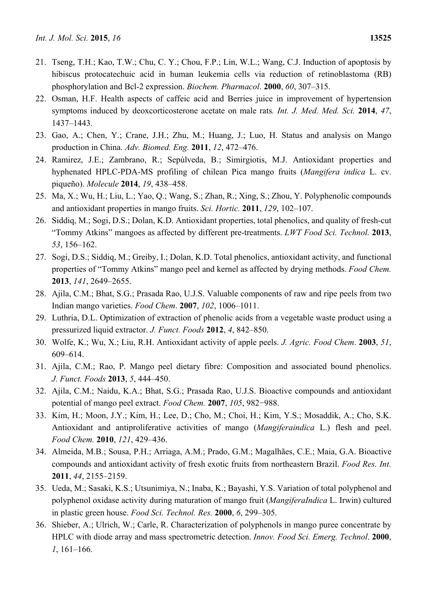- 21. Tseng, T.H.; Kao, T.W.; Chu, C. Y.; Chou, F.P.; Lin, W.L.; Wang, C.J. Induction of apoptosis by hibiscus protocatechuic acid in human leukemia cells via reduction of retinoblastoma (RB) phosphorylation and Bcl-2 expression. *Biochem. Pharmacol*. **2000**, *60*, 307–315.
- 22. Osman, H.F. Health aspects of caffeic acid and Berries juice in improvement of hypertension symptoms induced by deoxcorticosterone acetate on male rats*. Int. J. Med. Med. Sci.* **2014**, *47*, 1437–1443.
- 23. Gao, A.; Chen, Y.; Crane, J.H.; Zhu, M.; Huang, J.; Luo, H. Status and analysis on Mango production in China. *Adv. Biomed. Eng.* **2011**, *12*, 472–476.
- 24. Ramirez, J.E.; Zambrano, R.; Sepúlveda, B.; Simirgiotis, M.J. Antioxidant properties and hyphenated HPLC-PDA-MS profiling of chilean Pica mango fruits (*Mangifera indica* L. cv. piqueño). *Molecule* **2014**, *19*, 438–458.
- 25. Ma, X.; Wu, H.; Liu, L.; Yao, Q.; Wang, S.; Zhan, R.; Xing, S.; Zhou, Y. Polyphenolic compounds and antioxidant properties in mango fruits. *Sci. Hortic.* **2011**, *129*, 102–107.
- 26. Siddiq, M.; Sogi, D.S.; Dolan, K.D. Antioxidant properties, total phenolics, and quality of fresh-cut "Tommy Atkins" mangoes as affected by different pre-treatments. *LWT Food Sci. Technol.* **2013**, *53*, 156–162.
- 27. Sogi, D.S.; Siddiq, M.; Greiby, I.; Dolan, K.D. Total phenolics, antioxidant activity, and functional properties of "Tommy Atkins" mango peel and kernel as affected by drying methods. *Food Chem.*  **2013**, *141*, 2649–2655.
- 28. Ajila, C.M.; Bhat, S.G.; Prasada Rao, U.J.S. Valuable components of raw and ripe peels from two Indian mango varieties. *Food Chem*. **2007**, *102*, 1006–1011.
- 29. Luthria, D.L. Optimization of extraction of phenolic acids from a vegetable waste product using a pressurized liquid extractor. *J. Funct. Foods* **2012**, *4*, 842–850.
- 30. Wolfe, K.; Wu, X.; Liu, R.H. Antioxidant activity of apple peels. *J. Agric. Food Chem*. **2003**, *51*, 609–614.
- 31. Ajila, C.M.; Rao, P. Mango peel dietary fibre: Composition and associated bound phenolics. *J. Funct. Foods* **2013**, *5*, 444–450.
- 32. Ajila, C.M.; Naidu, K.A.; Bhat, S.G.; Prasada Rao, U.J.S. Bioactive compounds and antioxidant potential of mango peel extract. *Food Chem.* **2007**, *105*, 982−988.
- 33. Kim, H.; Moon, J.Y.; Kim, H.; Lee, D.; Cho, M.; Choi, H.; Kim, Y.S.; Mosaddik, A.; Cho, S.K. Antioxidant and antiproliferative activities of mango (*Mangiferaindica* L.) flesh and peel. *Food Chem.* **2010**, *121*, 429–436.
- 34. Almeida, M.B.; Sousa, P.H.; Arriaga, A.M.; Prado, G.M.; Magalhães, C.E.; Maia, G.A. Bioactive compounds and antioxidant activity of fresh exotic fruits from northeastern Brazil. *Food Res. Int.*  **2011**, *44*, 2155–2159.
- 35. Ueda, M.; Sasaki, K.S.; Utsunimiya, N.; Inaba, K.; Bayashi, Y.S. Variation of total polyphenol and polyphenol oxidase activity during maturation of mango fruit (*MangiferaIndica* L. Irwin) cultured in plastic green house. *Food Sci. Technol. Res.* **2000**, *6*, 299–305.
- 36. Shieber, A.; Ulrich, W.; Carle, R. Characterization of polyphenols in mango puree concentrate by HPLC with diode array and mass spectrometric detection. *Innov. Food Sci. Emerg. Technol*. **2000**, *1*, 161–166.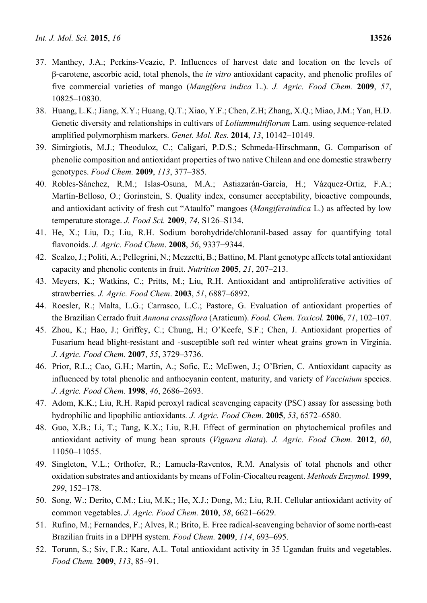- 37. Manthey, J.A.; Perkins-Veazie, P. Influences of harvest date and location on the levels of β-carotene, ascorbic acid, total phenols, the *in vitro* antioxidant capacity, and phenolic profiles of five commercial varieties of mango (*Mangifera indica* L.). *J. Agric. Food Chem.* **2009**, *57*, 10825–10830.
- 38. Huang, L.K.; Jiang, X.Y.; Huang, Q.T.; Xiao, Y.F.; Chen, Z.H; Zhang, X.Q.; Miao, J.M.; Yan, H.D. Genetic diversity and relationships in cultivars of *Loliummultiflorum* Lam. using sequence-related amplified polymorphism markers. *Genet. Mol. Res.* **2014**, *13*, 10142–10149.
- 39. Simirgiotis, M.J.; Theoduloz, C.; Caligari, P.D.S.; Schmeda-Hirschmann, G. Comparison of phenolic composition and antioxidant properties of two native Chilean and one domestic strawberry genotypes. *Food Chem.* **2009**, *113*, 377–385.
- 40. Robles-Sánchez, R.M.; Islas-Osuna, M.A.; Astiazarán-García, H.; Vázquez-Ortiz, F.A.; Martín-Belloso, O.; Gorinstein, S. Quality index, consumer acceptability, bioactive compounds, and antioxidant activity of fresh cut "Ataulfo" mangoes (*Mangiferaindica* L.) as affected by low temperature storage. *J. Food Sci.* **2009**, *74*, S126–S134.
- 41. He, X.; Liu, D.; Liu, R.H. Sodium borohydride/chloranil-based assay for quantifying total flavonoids. *J. Agric. Food Chem*. **2008**, *56*, 9337−9344.
- 42. Scalzo, J.; Politi, A.; Pellegrini, N.; Mezzetti, B.; Battino, M. Plant genotype affects total antioxidant capacity and phenolic contents in fruit. *Nutrition* **2005**, *21*, 207–213.
- 43. Meyers, K.; Watkins, C.; Pritts, M.; Liu, R.H. Antioxidant and antiproliferative activities of strawberries. *J. Agric. Food Chem*. **2003**, *51*, 6887–6892.
- 44. Roesler, R.; Malta, L.G.; Carrasco, L.C.; Pastore, G. Evaluation of antioxidant properties of the Brazilian Cerrado fruit *Annona crassiflora* (Araticum). *Food. Chem. Toxicol.* **2006**, *71*, 102–107.
- 45. Zhou, K.; Hao, J.; Griffey, C.; Chung, H.; O'Keefe, S.F.; Chen, J. Antioxidant properties of Fusarium head blight-resistant and -susceptible soft red winter wheat grains grown in Virginia. *J. Agric. Food Chem*. **2007**, *55*, 3729–3736.
- 46. Prior, R.L.; Cao, G.H.; Martin, A.; Sofic, E.; McEwen, J.; O'Brien, C. Antioxidant capacity as influenced by total phenolic and anthocyanin content, maturity, and variety of *Vaccinium* species. *J. Agric. Food Chem.* **1998**, *46*, 2686–2693.
- 47. Adom, K.K.; Liu, R.H. Rapid peroxyl radical scavenging capacity (PSC) assay for assessing both hydrophilic and lipophilic antioxidants*. J. Agric. Food Chem.* **2005**, *53*, 6572–6580.
- 48. Guo, X.B.; Li, T.; Tang, K.X.; Liu, R.H. Effect of germination on phytochemical profiles and antioxidant activity of mung bean sprouts (*Vignara diata*). *J. Agric. Food Chem.* **2012**, *60*, 11050–11055.
- 49. Singleton, V.L.; Orthofer, R.; Lamuela-Raventos, R.M. Analysis of total phenols and other oxidation substrates and antioxidants by means of Folin-Ciocalteu reagent. *Methods Enzymol.* **1999**, *299*, 152–178.
- 50. Song, W.; Derito, C.M.; Liu, M.K.; He, X.J.; Dong, M.; Liu, R.H. Cellular antioxidant activity of common vegetables. *J. Agric. Food Chem.* **2010**, *58*, 6621–6629.
- 51. Rufino, M.; Fernandes, F.; Alves, R.; Brito, E. Free radical-scavenging behavior of some north-east Brazilian fruits in a DPPH system. *Food Chem.* **2009**, *114*, 693–695.
- 52. Torunn, S.; Siv, F.R.; Kare, A.L. Total antioxidant activity in 35 Ugandan fruits and vegetables. *Food Chem.* **2009**, *113*, 85–91.